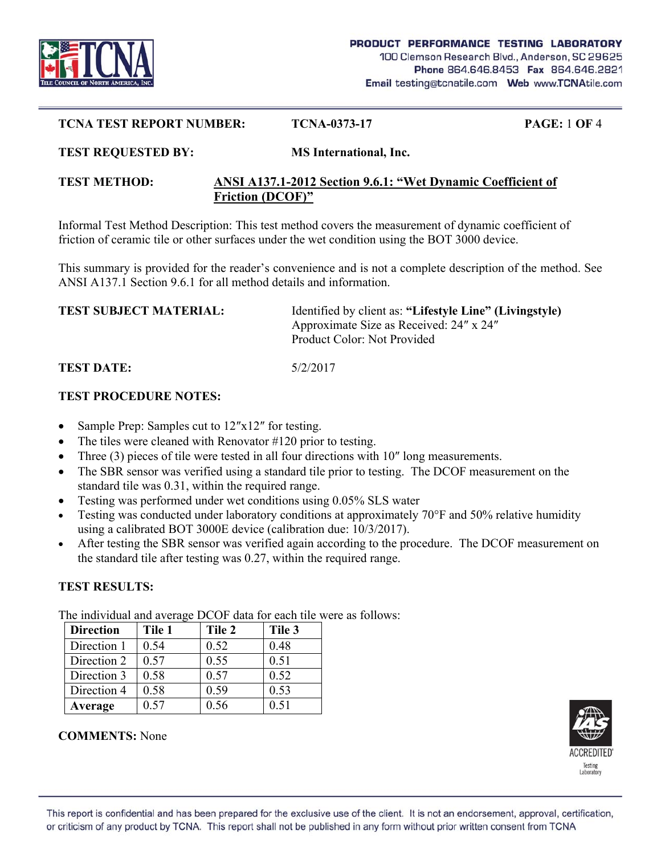

#### **TCNA TEST REPORT NUMBER: TCNA-0373-17 PAGE:** 1 **OF** 4

#### **TEST REQUESTED BY: MS International, Inc.**

#### **TEST METHOD: ANSI A137.1-2012 Section 9.6.1: "Wet Dynamic Coefficient of Friction (DCOF)"**

Informal Test Method Description: This test method covers the measurement of dynamic coefficient of friction of ceramic tile or other surfaces under the wet condition using the BOT 3000 device.

This summary is provided for the reader's convenience and is not a complete description of the method. See ANSI A137.1 Section 9.6.1 for all method details and information.

| <b>TEST SUBJECT MATERIAL:</b> | Identified by client as: "Lifestyle Line" (Livingstyle) |
|-------------------------------|---------------------------------------------------------|
|                               | Approximate Size as Received: 24" x 24"                 |
|                               | Product Color: Not Provided                             |
|                               |                                                         |

# **TEST DATE:** 5/2/2017

### **TEST PROCEDURE NOTES:**

- Sample Prep: Samples cut to 12″x12″ for testing.
- The tiles were cleaned with Renovator #120 prior to testing.
- Three (3) pieces of tile were tested in all four directions with 10″ long measurements.
- The SBR sensor was verified using a standard tile prior to testing. The DCOF measurement on the standard tile was 0.31, within the required range.
- Testing was performed under wet conditions using 0.05% SLS water
- Testing was conducted under laboratory conditions at approximately 70°F and 50% relative humidity using a calibrated BOT 3000E device (calibration due: 10/3/2017).
- After testing the SBR sensor was verified again according to the procedure. The DCOF measurement on the standard tile after testing was 0.27, within the required range.

# **TEST RESULTS:**

The individual and average DCOF data for each tile were as follows:

| <b>Direction</b> | Tile 1 | Tile 2 | Tile 3 |
|------------------|--------|--------|--------|
| Direction 1      | 0.54   | 0.52   | 0.48   |
| Direction 2      | 0.57   | 0.55   | 0.51   |
| Direction 3      | 0.58   | 0.57   | 0.52   |
| Direction 4      | 0.58   | 0.59   | 0.53   |
| Average          | 0.57   | 0.56   | 0.51   |

### **COMMENTS:** None

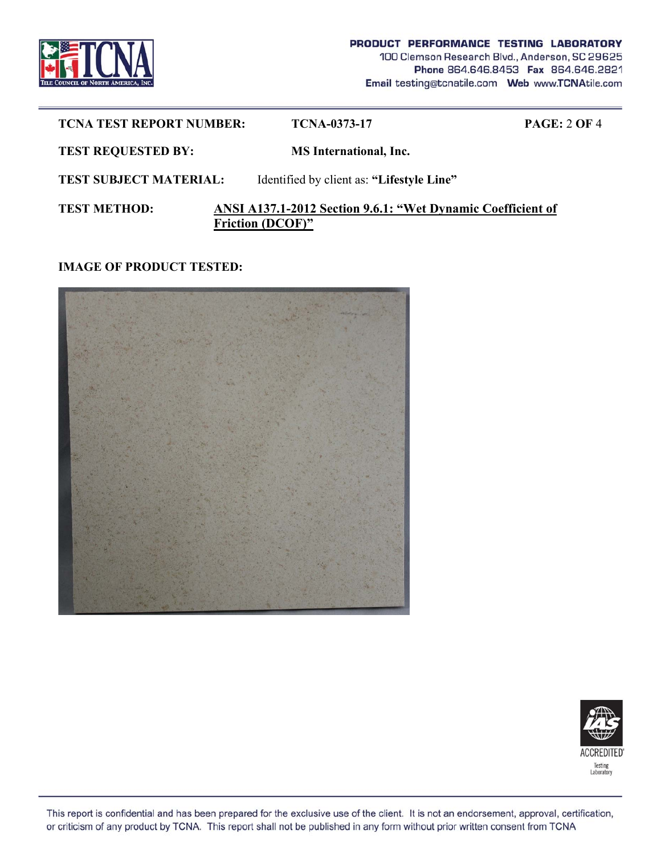

| <b>TCNA TEST REPORT NUMBER:</b> | <b>TCNA-0373-17</b>                                                                    | <b>PAGE: 2 OF 4</b> |
|---------------------------------|----------------------------------------------------------------------------------------|---------------------|
| <b>TEST REQUESTED BY:</b>       | <b>MS</b> International, Inc.                                                          |                     |
| <b>TEST SUBJECT MATERIAL:</b>   | Identified by client as: "Lifestyle Line"                                              |                     |
| <b>TEST METHOD:</b>             | ANSI A137.1-2012 Section 9.6.1: "Wet Dynamic Coefficient of<br><b>Friction (DCOF)"</b> |                     |

**IMAGE OF PRODUCT TESTED:** 





This report is confidential and has been prepared for the exclusive use of the client. It is not an endorsement, approval, certification, or criticism of any product by TCNA. This report shall not be published in any form without prior written consent from TCNA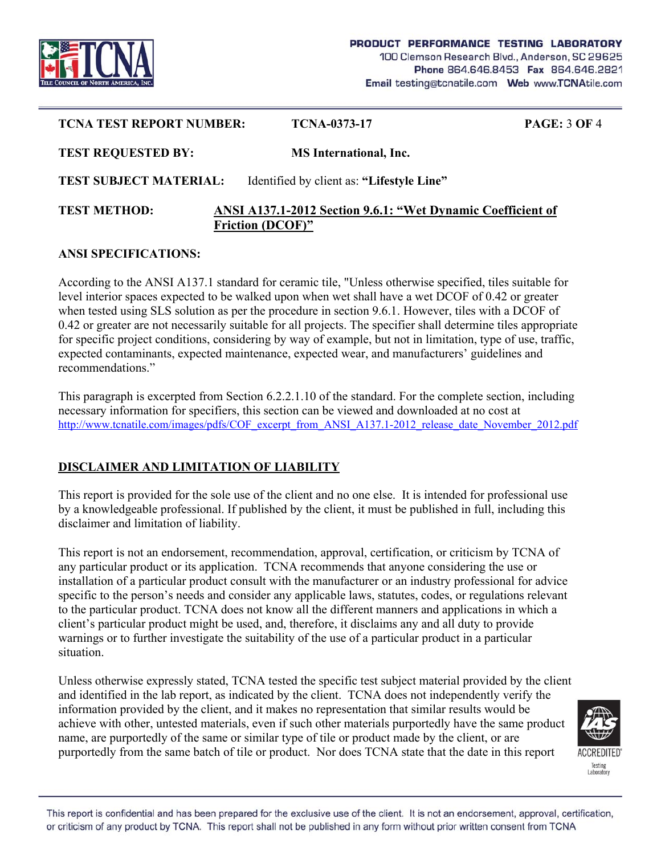

| <b>TCNA TEST REPORT NUMBER:</b> | TCNA-0373-17                                                                           | <b>PAGE: 3 OF 4</b> |
|---------------------------------|----------------------------------------------------------------------------------------|---------------------|
| <b>TEST REQUESTED BY:</b>       | <b>MS</b> International, Inc.                                                          |                     |
| <b>TEST SUBJECT MATERIAL:</b>   | Identified by client as: "Lifestyle Line"                                              |                     |
| <b>TEST METHOD:</b>             | ANSI A137.1-2012 Section 9.6.1: "Wet Dynamic Coefficient of<br><b>Friction (DCOF)"</b> |                     |

### **ANSI SPECIFICATIONS:**

According to the ANSI A137.1 standard for ceramic tile, "Unless otherwise specified, tiles suitable for level interior spaces expected to be walked upon when wet shall have a wet DCOF of 0.42 or greater when tested using SLS solution as per the procedure in section 9.6.1. However, tiles with a DCOF of 0.42 or greater are not necessarily suitable for all projects. The specifier shall determine tiles appropriate for specific project conditions, considering by way of example, but not in limitation, type of use, traffic, expected contaminants, expected maintenance, expected wear, and manufacturers' guidelines and recommendations."

This paragraph is excerpted from Section 6.2.2.1.10 of the standard. For the complete section, including necessary information for specifiers, this section can be viewed and downloaded at no cost at http://www.tcnatile.com/images/pdfs/COF\_excerpt\_from\_ANSI\_A137.1-2012\_release\_date\_November\_2012.pdf

# **DISCLAIMER AND LIMITATION OF LIABILITY**

This report is provided for the sole use of the client and no one else. It is intended for professional use by a knowledgeable professional. If published by the client, it must be published in full, including this disclaimer and limitation of liability.

This report is not an endorsement, recommendation, approval, certification, or criticism by TCNA of any particular product or its application. TCNA recommends that anyone considering the use or installation of a particular product consult with the manufacturer or an industry professional for advice specific to the person's needs and consider any applicable laws, statutes, codes, or regulations relevant to the particular product. TCNA does not know all the different manners and applications in which a client's particular product might be used, and, therefore, it disclaims any and all duty to provide warnings or to further investigate the suitability of the use of a particular product in a particular situation.

Unless otherwise expressly stated, TCNA tested the specific test subject material provided by the client and identified in the lab report, as indicated by the client. TCNA does not independently verify the information provided by the client, and it makes no representation that similar results would be achieve with other, untested materials, even if such other materials purportedly have the same product name, are purportedly of the same or similar type of tile or product made by the client, or are purportedly from the same batch of tile or product. Nor does TCNA state that the date in this report



This report is confidential and has been prepared for the exclusive use of the client. It is not an endorsement, approval, certification, or criticism of any product by TCNA. This report shall not be published in any form without prior written consent from TCNA